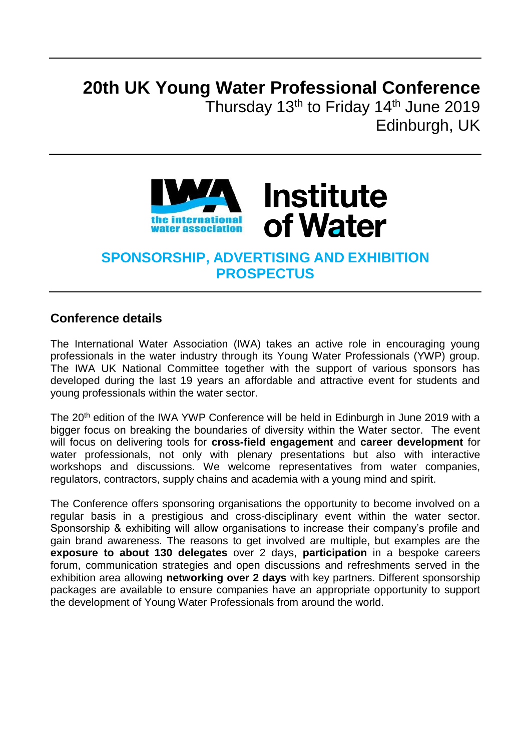# **20th UK Young Water Professional Conference**

Thursday 13<sup>th</sup> to Friday 14<sup>th</sup> June 2019 Edinburgh, UK



# **SPONSORSHIP, ADVERTISING AND EXHIBITION PROSPECTUS**

### **Conference details**

The International Water Association (IWA) takes an active role in encouraging young professionals in the water industry through its Young Water Professionals (YWP) group. The IWA UK National Committee together with the support of various sponsors has developed during the last 19 years an affordable and attractive event for students and young professionals within the water sector.

The 20<sup>th</sup> edition of the IWA YWP Conference will be held in Edinburgh in June 2019 with a bigger focus on breaking the boundaries of diversity within the Water sector. The event will focus on delivering tools for **cross-field engagement** and **career development** for water professionals, not only with plenary presentations but also with interactive workshops and discussions. We welcome representatives from water companies, regulators, contractors, supply chains and academia with a young mind and spirit.

The Conference offers sponsoring organisations the opportunity to become involved on a regular basis in a prestigious and cross-disciplinary event within the water sector. Sponsorship & exhibiting will allow organisations to increase their company's profile and gain brand awareness. The reasons to get involved are multiple, but examples are the **exposure to about 130 delegates** over 2 days, **participation** in a bespoke careers forum, communication strategies and open discussions and refreshments served in the exhibition area allowing **networking over 2 days** with key partners. Different sponsorship packages are available to ensure companies have an appropriate opportunity to support the development of Young Water Professionals from around the world.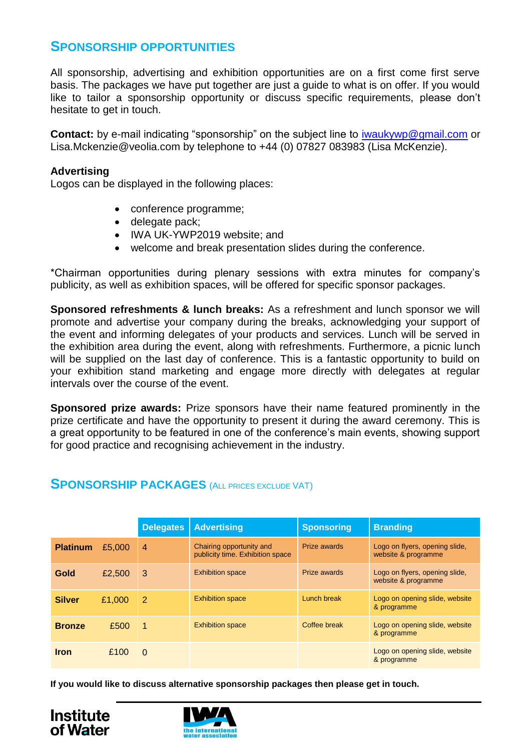## **SPONSORSHIP OPPORTUNITIES**

All sponsorship, advertising and exhibition opportunities are on a first come first serve basis. The packages we have put together are just a guide to what is on offer. If you would like to tailor a sponsorship opportunity or discuss specific requirements, please don't hesitate to get in touch.

**Contact:** by e-mail indicating "sponsorship" on the subject line to [iwaukywp@gmail.com](mailto:iwaukywp@gmail.com) or Lisa.Mckenzie@veolia.com by telephone to +44 (0) 07827 083983 (Lisa McKenzie).

#### **Advertising**

Logos can be displayed in the following places:

- conference programme;
- delegate pack;
- IWA UK-YWP2019 website; and
- welcome and break presentation slides during the conference.

\*Chairman opportunities during plenary sessions with extra minutes for company's publicity, as well as exhibition spaces, will be offered for specific sponsor packages.

**Sponsored refreshments & lunch breaks:** As a refreshment and lunch sponsor we will promote and advertise your company during the breaks, acknowledging your support of the event and informing delegates of your products and services. Lunch will be served in the exhibition area during the event, along with refreshments. Furthermore, a picnic lunch will be supplied on the last day of conference. This is a fantastic opportunity to build on your exhibition stand marketing and engage more directly with delegates at regular intervals over the course of the event.

**Sponsored prize awards:** Prize sponsors have their name featured prominently in the prize certificate and have the opportunity to present it during the award ceremony. This is a great opportunity to be featured in one of the conference's main events, showing support for good practice and recognising achievement in the industry.

#### **SPONSORSHIP PACKAGES** (ALL PRICES EXCLUDE VAT)

|                 |        | <b>Delegates</b> | <b>Advertising</b>                                           | <b>Sponsoring</b> | <b>Branding</b>                                       |
|-----------------|--------|------------------|--------------------------------------------------------------|-------------------|-------------------------------------------------------|
| <b>Platinum</b> | £5,000 | $\overline{4}$   | Chairing opportunity and<br>publicity time. Exhibition space | Prize awards      | Logo on flyers, opening slide,<br>website & programme |
| Gold            | £2,500 | 3                | <b>Exhibition space</b>                                      | Prize awards      | Logo on flyers, opening slide,<br>website & programme |
| <b>Silver</b>   | £1,000 | 2                | <b>Exhibition space</b>                                      | Lunch break       | Logo on opening slide, website<br>& programme         |
| <b>Bronze</b>   | £500   | 1                | <b>Exhibition space</b>                                      | Coffee break      | Logo on opening slide, website<br>& programme         |
| <b>Iron</b>     | £100   | $\Omega$         |                                                              |                   | Logo on opening slide, website<br>& programme         |

**If you would like to discuss alternative sponsorship packages then please get in touch.**